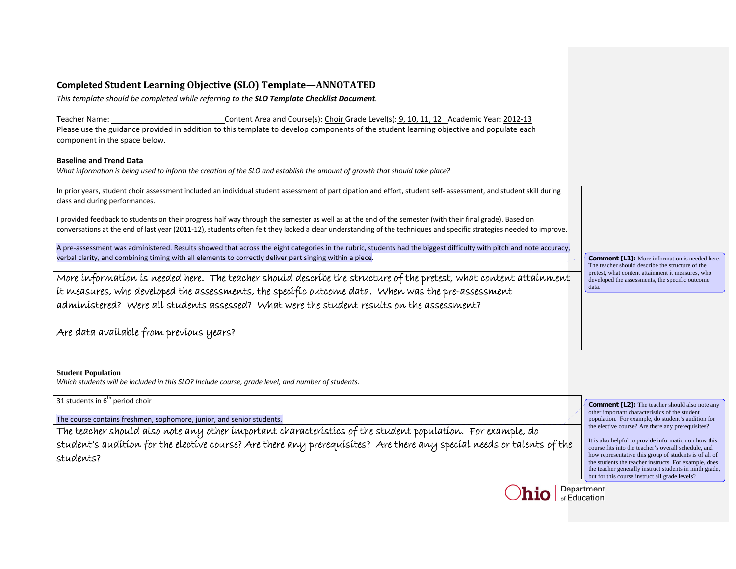# **Completed Student Learning Objective (SLO) Template—ANNOTATED**

*This template should be completed while referring to the SLO Template Checklist Document.*

Teacherr Name: \_\_\_\_\_\_\_\_\_\_\_\_\_\_\_\_\_\_\_\_\_\_\_\_\_\_\_\_\_\_Content Area and Course(s): <u>Choir </u>Grade Level(s): <u>9, 10, 11, 12</u>\_Academic Year: <u>2012-13</u> Please use the guidance provided in addition to this template to develop components of the student learning objective and populate each component in the space below.

## **Baseline and Trend Data**

What information is being used to inform the creation of the SLO and establish the amount of growth that should take place?

In prior years, student choir assessment included an individual student assessment of participation and effort, student self‐ assessment, and student skill during class and during performances.

I provided feedback to students on their progress half way through the semester as well as at the end of the semester (with their final grade). Based on conversations at the end of last year (2011‐12), students often felt they lacked <sup>a</sup> clear understanding of the techniques and specific strategies needed to improve.

A pre‐assessment was administered. Results showed that across the eight categories in the rubric, students had the biggest difficulty with pitch and note accuracy, verbal clarity, and combining timing with all elements to correctly deliver part singing within <sup>a</sup> piece.

More information is needed here. The teacher should describe the structure of the pretest, what content attainment it measures, who developed the assessments, the specific outcome data. When was the pre-assessment administered? Were all students assessed? What were the student results on the assessment?

Are data available from previous years?

## **Student Population**

*Which students will be included in this SLO? Include course, grade level, and number of students.*



**Comment [L1]:** More information is needed here. The teacher should describe the structure of the pretest, what content attainment it measures, who developed the assessments, the specific outcome data.

of Education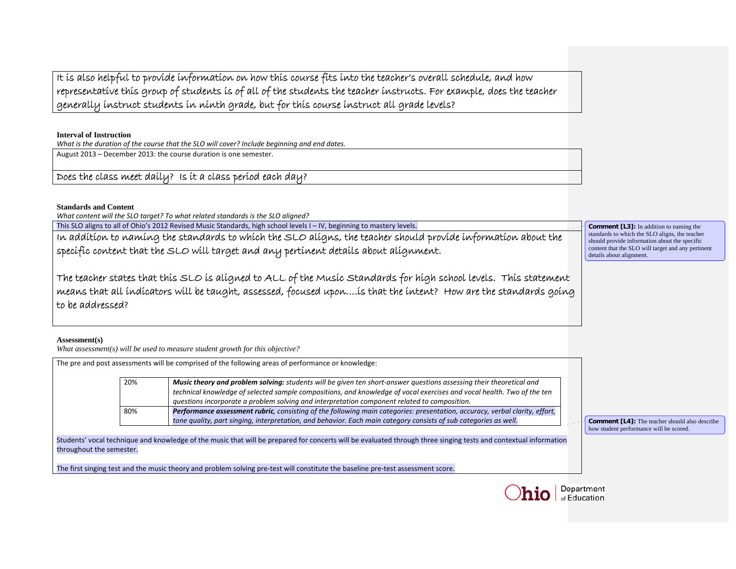It is also helpful to provide information on how this course fits into the teacher's overall schedule, and how representative this group of students is of all of the students the teacher instructs. For example, does the teacher generally instruct students in ninth grade, but for this course instruct all grade levels?

**Interval of Instruction** 

*What is the duration of the course that the SLO will cover? Include beginning and end dates.*

August 2013 – December 2013: the course duration is one semester.

Does the class meet daily? Is it a class period each day?

## **Standards and Content**

*What content will the SLO target? To what related standards is the SLO aligned?*

This SLO aligns to all of Ohio's 2012 Revised Music Standards, high school levels I – IV, beginning to mastery levels.

In addition to naming the standards to which the SLO aligns, the teacher should provide information about the specific content that the SLO will target and any pertinent details about alignment.

The teacher states that this SLO is aligned to ALL of the Music Standards for high school levels. This statement means that all indicators will be taught, assessed, focused upon….is that the intent? How are the standards going to be addressed?

## **Assessment(s)**

*What assessment(s) will be used to measure student growth for this objective?* 

| The pre and post assessments will be comprised of the following areas of performance or knowledge:                                                                                           |     |                                                                                                                                                                                                                                                                                                                                               |                                                                                                  |
|----------------------------------------------------------------------------------------------------------------------------------------------------------------------------------------------|-----|-----------------------------------------------------------------------------------------------------------------------------------------------------------------------------------------------------------------------------------------------------------------------------------------------------------------------------------------------|--------------------------------------------------------------------------------------------------|
|                                                                                                                                                                                              | 20% | Music theory and problem solving: students will be given ten short-answer questions assessing their theoretical and<br>technical knowledge of selected sample compositions, and knowledge of vocal exercises and vocal health. Two of the ten<br>questions incorporate a problem solving and interpretation component related to composition. |                                                                                                  |
|                                                                                                                                                                                              | 80% | Performance assessment rubric, consisting of the following main categories: presentation, accuracy, verbal clarity, effort,<br>tone quality, part singing, interpretation, and behavior. Each main category consists of sub categories as well.                                                                                               | <b>Comment [L4]:</b> The teacher should also describe<br>how student performance will be scored. |
| Students' vocal technique and knowledge of the music that will be prepared for concerts will be evaluated through three singing tests and contextual information<br>throughout the semester. |     |                                                                                                                                                                                                                                                                                                                                               |                                                                                                  |
|                                                                                                                                                                                              |     | The first singing test and the music theory and problem solving pre-test will constitute the baseline pre-test assessment score.                                                                                                                                                                                                              |                                                                                                  |



**Comment [L3]:** In addition to naming the standards to which the SLO aligns, the teacher should provide information about the specific content that the SLO will target and any pertinent details about alignment.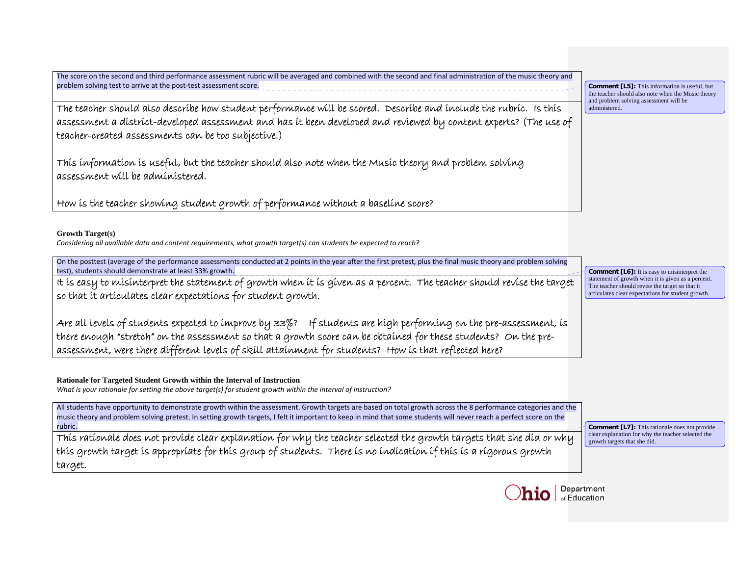| The score on the second and third performance assessment rubric will be averaged and combined with the second and final administration of the music theory and<br>problem solving test to arrive at the post-test assessment score.                                                                                                               | <b>Comment [L5]:</b> This information is useful, but                                                  |  |
|---------------------------------------------------------------------------------------------------------------------------------------------------------------------------------------------------------------------------------------------------------------------------------------------------------------------------------------------------|-------------------------------------------------------------------------------------------------------|--|
|                                                                                                                                                                                                                                                                                                                                                   | the teacher should also note when the Music theory<br>and problem solving assessment will be          |  |
| The teacher should also describe how student performance will be scored. Describe and include the rubric. Is this                                                                                                                                                                                                                                 | administered.                                                                                         |  |
| assessment a district-developed assessment and has it been developed and reviewed by content experts? (The use of                                                                                                                                                                                                                                 |                                                                                                       |  |
| teacher-created assessments can be too subjective.)                                                                                                                                                                                                                                                                                               |                                                                                                       |  |
| This information is useful, but the teacher should also note when the Music theory and problem solving<br>assessment will be administered.                                                                                                                                                                                                        |                                                                                                       |  |
| How is the teacher showing student growth of performance without a baseline score?                                                                                                                                                                                                                                                                |                                                                                                       |  |
| <b>Growth Target(s)</b><br>Considering all available data and content requirements, what growth target(s) can students be expected to reach?                                                                                                                                                                                                      |                                                                                                       |  |
| On the posttest (average of the performance assessments conducted at 2 points in the year after the first pretest, plus the final music theory and problem solving<br>test), students should demonstrate at least 33% growth.                                                                                                                     | <b>Comment</b> [L6]: It is easy to misinterpret the                                                   |  |
| It is easy to misinterpret the statement of growth when it is given as a percent. The teacher should revise the target                                                                                                                                                                                                                            | statement of growth when it is given as a percent.<br>The teacher should revise the target so that it |  |
| so that it articulates clear expectations for student growth.                                                                                                                                                                                                                                                                                     | articulates clear expectations for student growth.                                                    |  |
|                                                                                                                                                                                                                                                                                                                                                   |                                                                                                       |  |
| Are all levels of students expected to improve by 33%? If students are high performing on the pre-assessment, is                                                                                                                                                                                                                                  |                                                                                                       |  |
| there enough "stretch" on the assessment so that a growth score can be obtained for these students? On the pre-                                                                                                                                                                                                                                   |                                                                                                       |  |
| assessment, were there different levels of skill attainment for students? How is that reflected here?                                                                                                                                                                                                                                             |                                                                                                       |  |
| Rationale for Targeted Student Growth within the Interval of Instruction<br>What is your rationale for setting the above target(s) for student growth within the interval of instruction?                                                                                                                                                         |                                                                                                       |  |
| All students have opportunity to demonstrate growth within the assessment. Growth targets are based on total growth across the 8 performance categories and the<br>music theory and problem solving pretest. In setting growth targets, I felt it important to keep in mind that some students will never reach a perfect score on the<br>rubric. | <b>Comment [L7]:</b> This rationale does not provide                                                  |  |
| This rationale does not provide clear explanation for why the teacher selected the growth targets that she did or why                                                                                                                                                                                                                             | clear explanation for why the teacher selected the<br>growth targets that she did.                    |  |
| this growth target is appropriate for this group of students. There is no indication if this is a rigorous growth                                                                                                                                                                                                                                 |                                                                                                       |  |
| target.                                                                                                                                                                                                                                                                                                                                           |                                                                                                       |  |
|                                                                                                                                                                                                                                                                                                                                                   |                                                                                                       |  |